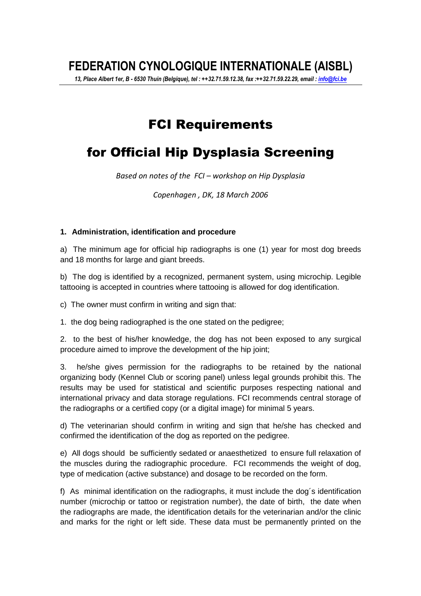*13, Place Albert 1er, B - 6530 Thuin (Belgique), tel : ++32.71.59.12.38, fax :++32.71.59.22.29, email : info@fci.be*

# FCI Requirements

## for Official Hip Dysplasia Screening

*Based on notes of the FCI – workshop on Hip Dysplasia* 

*Copenhagen , DK, 18 March 2006* 

#### **1. Administration, identification and procedure**

a) The minimum age for official hip radiographs is one (1) year for most dog breeds and 18 months for large and giant breeds.

b) The dog is identified by a recognized, permanent system, using microchip. Legible tattooing is accepted in countries where tattooing is allowed for dog identification.

c) The owner must confirm in writing and sign that:

1. the dog being radiographed is the one stated on the pedigree;

2. to the best of his/her knowledge, the dog has not been exposed to any surgical procedure aimed to improve the development of the hip joint;

3. he/she gives permission for the radiographs to be retained by the national organizing body (Kennel Club or scoring panel) unless legal grounds prohibit this. The results may be used for statistical and scientific purposes respecting national and international privacy and data storage regulations. FCI recommends central storage of the radiographs or a certified copy (or a digital image) for minimal 5 years.

d) The veterinarian should confirm in writing and sign that he/she has checked and confirmed the identification of the dog as reported on the pedigree.

e) All dogs should be sufficiently sedated or anaesthetized to ensure full relaxation of the muscles during the radiographic procedure. FCI recommends the weight of dog, type of medication (active substance) and dosage to be recorded on the form.

f) As minimal identification on the radiographs, it must include the dog´s identification number (microchip or tattoo or registration number), the date of birth, the date when the radiographs are made, the identification details for the veterinarian and/or the clinic and marks for the right or left side. These data must be permanently printed on the